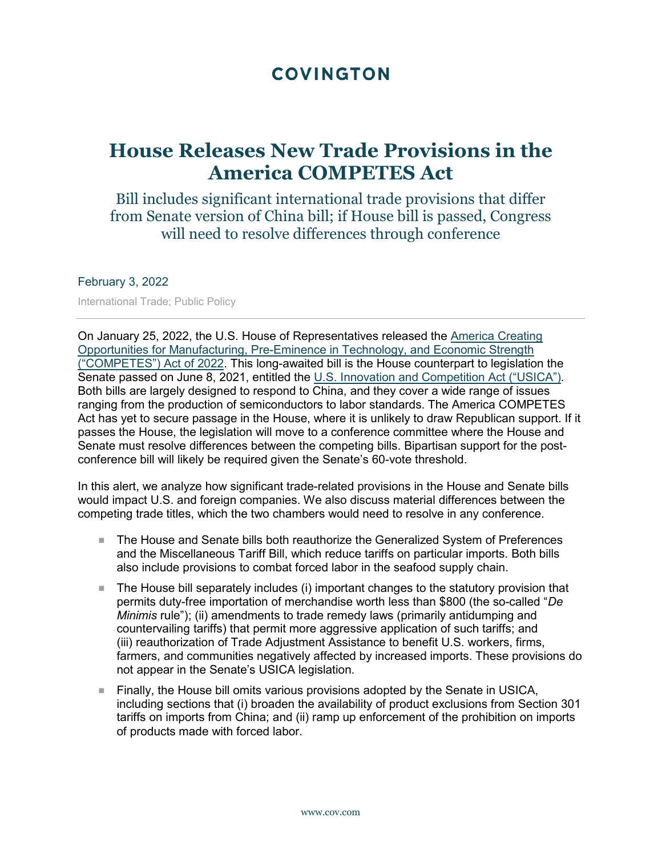# **COVINGTON**

# **House Releases New Trade Provisions in the America COMPETES Act**

Bill includes significant international trade provisions that differ from Senate version of China bill; if House bill is passed, Congress will need to resolve differences through conference

#### February 3, 2022

International Trade; Public Policy

On January 25, 2022, the U.S. House of Representatives released the [America Creating](https://covcommunicate.com/email_handler.aspx?sid=blankform&redirect=https%3a%2f%2frules.house.gov%2fsites%2fdemocrats.rules.house.gov%2ffiles%2fBILLS-117HR4521RH-RCP117-31.pdf&checksum=3CB3D09C)  [Opportunities for Manufacturing, Pre-Eminence in Technology, and Economic Strength](https://covcommunicate.com/email_handler.aspx?sid=blankform&redirect=https%3a%2f%2frules.house.gov%2fsites%2fdemocrats.rules.house.gov%2ffiles%2fBILLS-117HR4521RH-RCP117-31.pdf&checksum=3CB3D09C)  [\("COMPETES"\) Act of 2022.](https://covcommunicate.com/email_handler.aspx?sid=blankform&redirect=https%3a%2f%2frules.house.gov%2fsites%2fdemocrats.rules.house.gov%2ffiles%2fBILLS-117HR4521RH-RCP117-31.pdf&checksum=3CB3D09C) This long-awaited bill is the House counterpart to legislation the Senate passed on June 8, 2021, entitled the [U.S. Innovation and Competition Act \("USICA"\).](https://covcommunicate.com/email_handler.aspx?sid=blankform&redirect=https%3a%2f%2fwww.congress.gov%2f117%2fbills%2fs1260%2fBILLS-117s1260es.pdf&checksum=B6A5FDE8) Both bills are largely designed to respond to China, and they cover a wide range of issues ranging from the production of semiconductors to labor standards. The America COMPETES Act has yet to secure passage in the House, where it is unlikely to draw Republican support. If it passes the House, the legislation will move to a conference committee where the House and Senate must resolve differences between the competing bills. Bipartisan support for the postconference bill will likely be required given the Senate's 60-vote threshold.

In this alert, we analyze how significant trade-related provisions in the House and Senate bills would impact U.S. and foreign companies. We also discuss material differences between the competing trade titles, which the two chambers would need to resolve in any conference.

- The House and Senate bills both reauthorize the Generalized System of Preferences and the Miscellaneous Tariff Bill, which reduce tariffs on particular imports. Both bills also include provisions to combat forced labor in the seafood supply chain.
- The House bill separately includes (i) important changes to the statutory provision that permits duty-free importation of merchandise worth less than \$800 (the so-called "*De Minimis rule*"); (ii) amendments to trade remedy laws (primarily antidumping and countervailing tariffs) that permit more aggressive application of such tariffs; and (iii) reauthorization of Trade Adjustment Assistance to benefit U.S. workers, firms, farmers, and communities negatively affected by increased imports. These provisions do not appear in the Senate's USICA legislation.
- Finally, the House bill omits various provisions adopted by the Senate in USICA, including sections that (i) broaden the availability of product exclusions from Section 301 tariffs on imports from China; and (ii) ramp up enforcement of the prohibition on imports of products made with forced labor.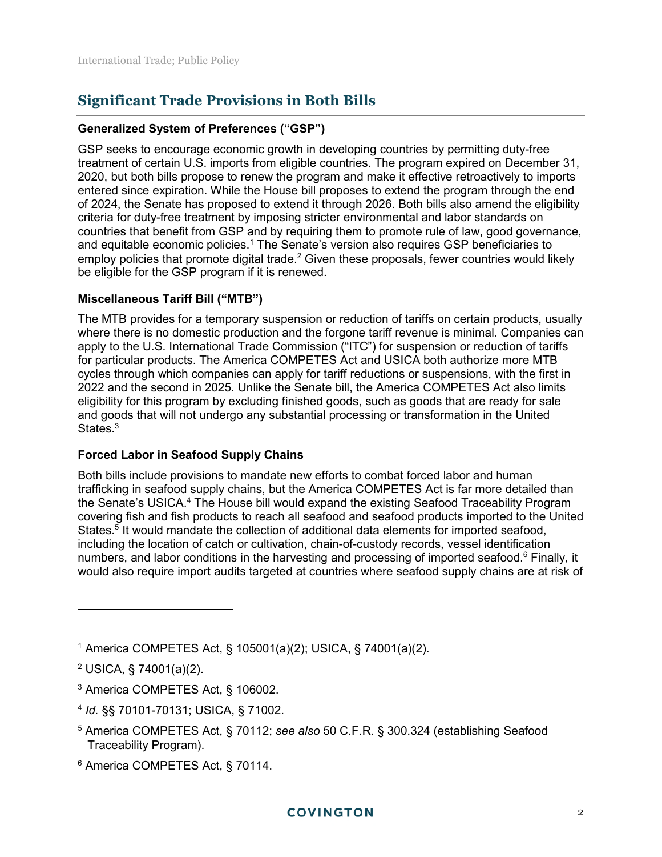# **Significant Trade Provisions in Both Bills**

#### **Generalized System of Preferences ("GSP")**

GSP seeks to encourage economic growth in developing countries by permitting duty-free treatment of certain U.S. imports from eligible countries. The program expired on December 31, 2020, but both bills propose to renew the program and make it effective retroactively to imports entered since expiration. While the House bill proposes to extend the program through the end of 2024, the Senate has proposed to extend it through 2026. Both bills also amend the eligibility criteria for duty-free treatment by imposing stricter environmental and labor standards on countries that benefit from GSP and by requiring them to promote rule of law, good governance, and equitable economic policies.<sup>1</sup> The Senate's version also requires GSP beneficiaries to employ policies that promote digital trade. $^2$  Given these proposals, fewer countries would likely be eligible for the GSP program if it is renewed.

#### **Miscellaneous Tariff Bill ("MTB")**

The MTB provides for a temporary suspension or reduction of tariffs on certain products, usually where there is no domestic production and the forgone tariff revenue is minimal. Companies can apply to the U.S. International Trade Commission ("ITC") for suspension or reduction of tariffs for particular products. The America COMPETES Act and USICA both authorize more MTB cycles through which companies can apply for tariff reductions or suspensions, with the first in 2022 and the second in 2025. Unlike the Senate bill, the America COMPETES Act also limits eligibility for this program by excluding finished goods, such as goods that are ready for sale and goods that will not undergo any substantial processing or transformation in the United States.<sup>3</sup>

#### **Forced Labor in Seafood Supply Chains**

Both bills include provisions to mandate new efforts to combat forced labor and human trafficking in seafood supply chains, but the America COMPETES Act is far more detailed than the Senate's USICA.<sup>4</sup> The House bill would expand the existing Seafood Traceability Program covering fish and fish products to reach all seafood and seafood products imported to the United States.<sup>5</sup> It would mandate the collection of additional data elements for imported seafood, including the location of catch or cultivation, chain-of-custody records, vessel identification numbers, and labor conditions in the harvesting and processing of imported seafood.<sup>6</sup> Finally, it would also require import audits targeted at countries where seafood supply chains are at risk of

- 5 America COMPETES Act, § 70112; *see also* 50 C.F.R. § 300.324 (establishing Seafood Traceability Program).
- 6 America COMPETES Act, § 70114.

<sup>1</sup> America COMPETES Act, § 105001(a)(2); USICA, § 74001(a)(2).

<sup>&</sup>lt;sup>2</sup> USICA, § 74001(a)(2).

<sup>3</sup> America COMPETES Act, § 106002.

<sup>4</sup> *Id.* §§ 70101-70131; USICA, § 71002.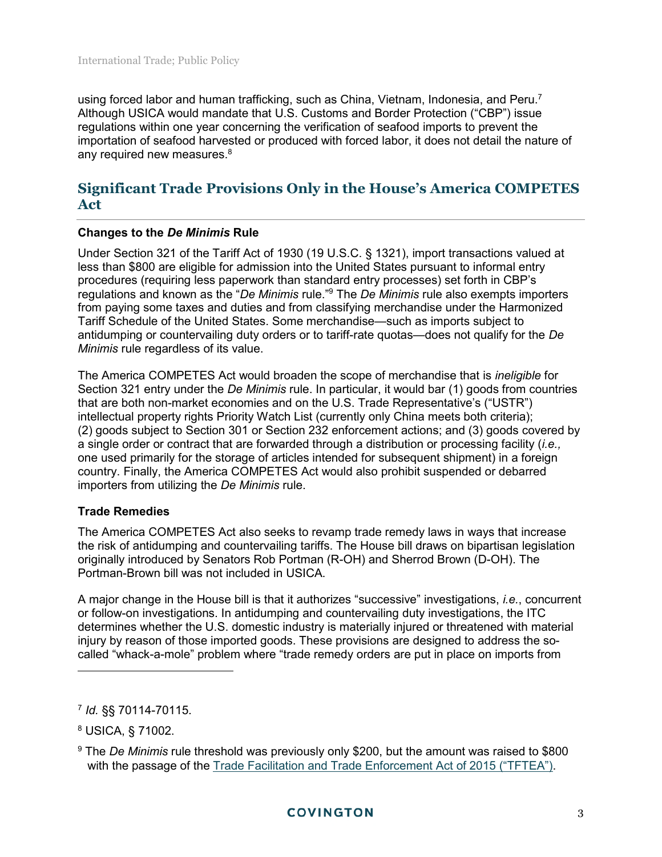using forced labor and human trafficking, such as China, Vietnam, Indonesia, and Peru.<sup>7</sup> Although USICA would mandate that U.S. Customs and Border Protection ("CBP") issue regulations within one year concerning the verification of seafood imports to prevent the importation of seafood harvested or produced with forced labor, it does not detail the nature of any required new measures.<sup>8</sup>

# **Significant Trade Provisions Only in the House's America COMPETES Act**

#### **Changes to the** *De Minimis* **Rule**

Under Section 321 of the Tariff Act of 1930 (19 U.S.C. § 1321), import transactions valued at less than \$800 are eligible for admission into the United States pursuant to informal entry procedures (requiring less paperwork than standard entry processes) set forth in CBP's regulations and known as the "*De Minimis* rule."<sup>9</sup> The *De Minimis* rule also exempts importers from paying some taxes and duties and from classifying merchandise under the Harmonized Tariff Schedule of the United States. Some merchandise—such as imports subject to antidumping or countervailing duty orders or to tariff-rate quotas—does not qualify for the *De Minimis* rule regardless of its value.

The America COMPETES Act would broaden the scope of merchandise that is *ineligible* for Section 321 entry under the *De Minimis* rule. In particular, it would bar (1) goods from countries that are both non-market economies and on the U.S. Trade Representative's ("USTR") intellectual property rights Priority Watch List (currently only China meets both criteria); (2) goods subject to Section 301 or Section 232 enforcement actions; and (3) goods covered by a single order or contract that are forwarded through a distribution or processing facility (*i.e.,* one used primarily for the storage of articles intended for subsequent shipment) in a foreign country. Finally, the America COMPETES Act would also prohibit suspended or debarred importers from utilizing the *De Minimis* rule.

#### **Trade Remedies**

The America COMPETES Act also seeks to revamp trade remedy laws in ways that increase the risk of antidumping and countervailing tariffs. The House bill draws on bipartisan legislation originally introduced by Senators Rob Portman (R-OH) and Sherrod Brown (D-OH). The Portman-Brown bill was not included in USICA.

A major change in the House bill is that it authorizes "successive" investigations, *i.e.*, concurrent or follow-on investigations. In antidumping and countervailing duty investigations, the ITC determines whether the U.S. domestic industry is materially injured or threatened with material injury by reason of those imported goods. These provisions are designed to address the socalled "whack-a-mole" problem where "trade remedy orders are put in place on imports from

<sup>7</sup> *Id.* §§ 70114-70115.

<sup>8</sup> USICA, § 71002.

<sup>9</sup> The *De Minimis* rule threshold was previously only \$200, but the amount was raised to \$800 with the passage of the [Trade Facilitation and Trade Enforcement Act of 2015 \("TFTEA"\).](https://www.cbp.gov/trade/trade-enforcement/tftea)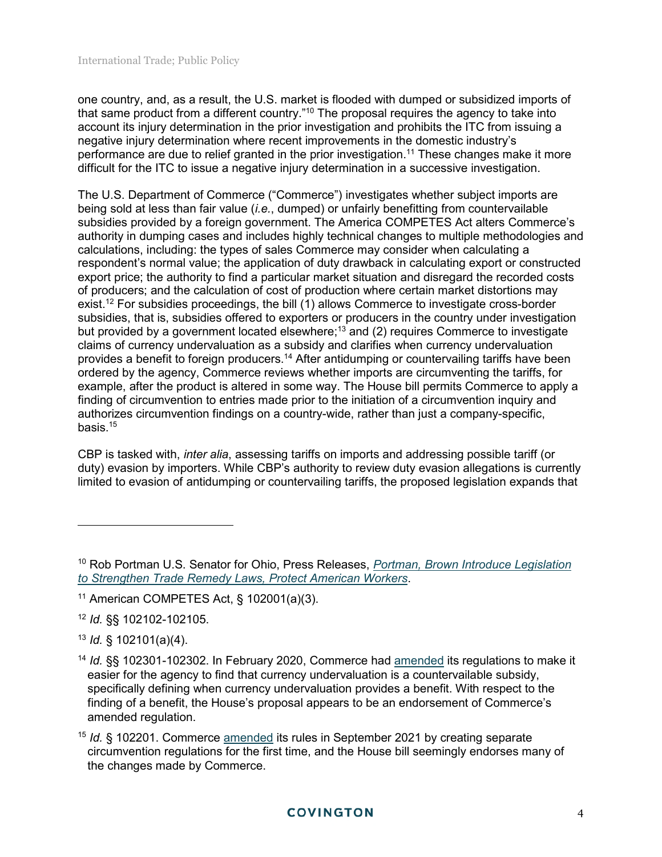one country, and, as a result, the U.S. market is flooded with dumped or subsidized imports of that same product from a different country."<sup>10</sup> The proposal requires the agency to take into account its injury determination in the prior investigation and prohibits the ITC from issuing a negative injury determination where recent improvements in the domestic industry's performance are due to relief granted in the prior investigation.<sup>11</sup> These changes make it more difficult for the ITC to issue a negative injury determination in a successive investigation.

The U.S. Department of Commerce ("Commerce") investigates whether subject imports are being sold at less than fair value (*i.e.*, dumped) or unfairly benefitting from countervailable subsidies provided by a foreign government. The America COMPETES Act alters Commerce's authority in dumping cases and includes highly technical changes to multiple methodologies and calculations, including: the types of sales Commerce may consider when calculating a respondent's normal value; the application of duty drawback in calculating export or constructed export price; the authority to find a particular market situation and disregard the recorded costs of producers; and the calculation of cost of production where certain market distortions may exist.<sup>12</sup> For subsidies proceedings, the bill (1) allows Commerce to investigate cross-border subsidies, that is, subsidies offered to exporters or producers in the country under investigation but provided by a government located elsewhere;<sup>13</sup> and (2) requires Commerce to investigate claims of currency undervaluation as a subsidy and clarifies when currency undervaluation provides a benefit to foreign producers.<sup>14</sup> After antidumping or countervailing tariffs have been ordered by the agency, Commerce reviews whether imports are circumventing the tariffs, for example, after the product is altered in some way. The House bill permits Commerce to apply a finding of circumvention to entries made prior to the initiation of a circumvention inquiry and authorizes circumvention findings on a country-wide, rather than just a company-specific, basis.<sup>15</sup>

CBP is tasked with, *inter alia*, assessing tariffs on imports and addressing possible tariff (or duty) evasion by importers. While CBP's authority to review duty evasion allegations is currently limited to evasion of antidumping or countervailing tariffs, the proposed legislation expands that

## **COVINGTON**

<sup>10</sup> Rob Portman U.S. Senator for Ohio, Press Releases, *[Portman, Brown Introduce Legislation](https://www.portman.senate.gov/newsroom/press-releases/portman-brown-introduce-legislation-strengthen-trade-remedy-laws-protect)  [to Strengthen Trade Remedy Laws, Protect American Workers](https://www.portman.senate.gov/newsroom/press-releases/portman-brown-introduce-legislation-strengthen-trade-remedy-laws-protect)*.

<sup>11</sup> American COMPETES Act, § 102001(a)(3).

<sup>12</sup> *Id.* §§ 102102-102105.

<sup>13</sup> *Id.* § 102101(a)(4).

<sup>14</sup> *Id.* §§ 102301-102302. In February 2020, Commerce had [amended](https://www.govinfo.gov/content/pkg/FR-2020-02-04/pdf/2020-02097.pdf) its regulations to make it easier for the agency to find that currency undervaluation is a countervailable subsidy, specifically defining when currency undervaluation provides a benefit. With respect to the finding of a benefit, the House's proposal appears to be an endorsement of Commerce's amended regulation.

<sup>&</sup>lt;sup>15</sup> *Id.* § 102201. Commerce [amended](https://www.govinfo.gov/content/pkg/FR-2021-09-20/pdf/2021-17861.pdf) its rules in September 2021 by creating separate circumvention regulations for the first time, and the House bill seemingly endorses many of the changes made by Commerce.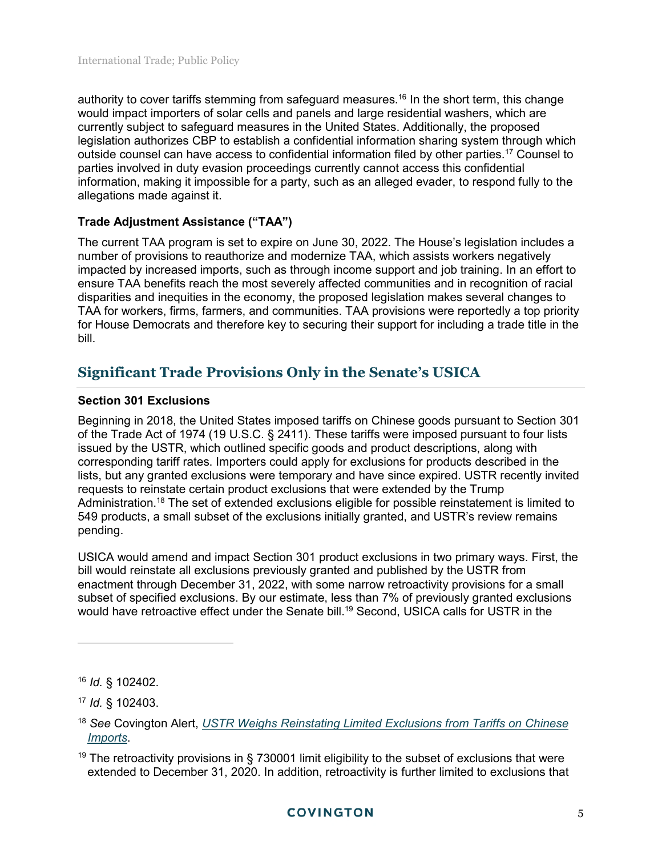authority to cover tariffs stemming from safeguard measures.<sup>16</sup> In the short term, this change would impact importers of solar cells and panels and large residential washers, which are currently subject to safeguard measures in the United States. Additionally, the proposed legislation authorizes CBP to establish a confidential information sharing system through which outside counsel can have access to confidential information filed by other parties.<sup>17</sup> Counsel to parties involved in duty evasion proceedings currently cannot access this confidential information, making it impossible for a party, such as an alleged evader, to respond fully to the allegations made against it.

## **Trade Adjustment Assistance ("TAA")**

The current TAA program is set to expire on June 30, 2022. The House's legislation includes a number of provisions to reauthorize and modernize TAA, which assists workers negatively impacted by increased imports, such as through income support and job training. In an effort to ensure TAA benefits reach the most severely affected communities and in recognition of racial disparities and inequities in the economy, the proposed legislation makes several changes to TAA for workers, firms, farmers, and communities. TAA provisions were reportedly a top priority for House Democrats and therefore key to securing their support for including a trade title in the bill.

# **Significant Trade Provisions Only in the Senate's USICA**

## **Section 301 Exclusions**

Beginning in 2018, the United States imposed tariffs on Chinese goods pursuant to Section 301 of the Trade Act of 1974 (19 U.S.C. § 2411). These tariffs were imposed pursuant to four lists issued by the USTR, which outlined specific goods and product descriptions, along with corresponding tariff rates. Importers could apply for exclusions for products described in the lists, but any granted exclusions were temporary and have since expired. USTR recently invited requests to reinstate certain product exclusions that were extended by the Trump Administration.<sup>18</sup> The set of extended exclusions eligible for possible reinstatement is limited to 549 products, a small subset of the exclusions initially granted, and USTR's review remains pending.

USICA would amend and impact Section 301 product exclusions in two primary ways. First, the bill would reinstate all exclusions previously granted and published by the USTR from enactment through December 31, 2022, with some narrow retroactivity provisions for a small subset of specified exclusions. By our estimate, less than 7% of previously granted exclusions would have retroactive effect under the Senate bill.<sup>19</sup> Second, USICA calls for USTR in the

 $\overline{a}$ 

<sup>16</sup> *Id.* § 102402.

<sup>17</sup> *Id.* § 102403.

<sup>18</sup> *See* Covington Alert, *[USTR Weighs Reinstating Limited Exclusions from Tariffs on Chinese](https://www.cov.com/en/news-and-insights/insights/2021/10/ustr-weighs-reinstating-limited-exclusions-from-tariffs-on-chinese-imports.)  [Imports](https://www.cov.com/en/news-and-insights/insights/2021/10/ustr-weighs-reinstating-limited-exclusions-from-tariffs-on-chinese-imports.)*.

<sup>&</sup>lt;sup>19</sup> The retroactivity provisions in § 730001 limit eligibility to the subset of exclusions that were extended to December 31, 2020. In addition, retroactivity is further limited to exclusions that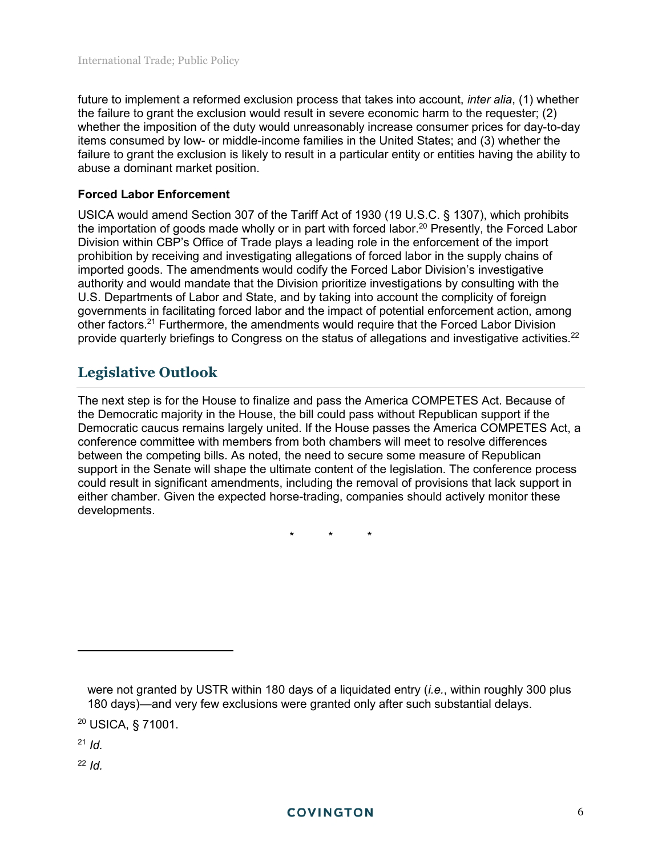future to implement a reformed exclusion process that takes into account, *inter alia*, (1) whether the failure to grant the exclusion would result in severe economic harm to the requester; (2) whether the imposition of the duty would unreasonably increase consumer prices for day-to-day items consumed by low- or middle-income families in the United States; and (3) whether the failure to grant the exclusion is likely to result in a particular entity or entities having the ability to abuse a dominant market position.

#### **Forced Labor Enforcement**

USICA would amend Section 307 of the Tariff Act of 1930 (19 U.S.C. § 1307), which prohibits the importation of goods made wholly or in part with forced labor.<sup>20</sup> Presently, the Forced Labor Division within CBP's Office of Trade plays a leading role in the enforcement of the import prohibition by receiving and investigating allegations of forced labor in the supply chains of imported goods. The amendments would codify the Forced Labor Division's investigative authority and would mandate that the Division prioritize investigations by consulting with the U.S. Departments of Labor and State, and by taking into account the complicity of foreign governments in facilitating forced labor and the impact of potential enforcement action, among other factors.<sup>21</sup> Furthermore, the amendments would require that the Forced Labor Division provide quarterly briefings to Congress on the status of allegations and investigative activities.<sup>22</sup>

# **Legislative Outlook**

The next step is for the House to finalize and pass the America COMPETES Act. Because of the Democratic majority in the House, the bill could pass without Republican support if the Democratic caucus remains largely united. If the House passes the America COMPETES Act, a conference committee with members from both chambers will meet to resolve differences between the competing bills. As noted, the need to secure some measure of Republican support in the Senate will shape the ultimate content of the legislation. The conference process could result in significant amendments, including the removal of provisions that lack support in either chamber. Given the expected horse-trading, companies should actively monitor these developments.

\* \* \*

<sup>21</sup> *Id.* 

 $\overline{a}$ 

 $22$  *Id.* 

were not granted by USTR within 180 days of a liquidated entry (*i.e.*, within roughly 300 plus 180 days)—and very few exclusions were granted only after such substantial delays.

<sup>20</sup> USICA, § 71001.